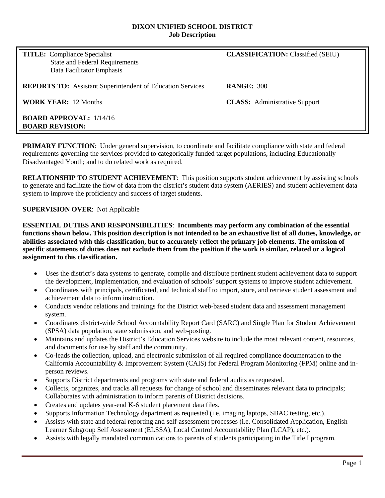#### **DIXON UNIFIED SCHOOL DISTRICT Job Description**

| <b>TITLE:</b> Compliance Specialist<br><b>State and Federal Requirements</b><br>Data Facilitator Emphasis | <b>CLASSIFICATION:</b> Classified (SEIU) |
|-----------------------------------------------------------------------------------------------------------|------------------------------------------|
| <b>REPORTS TO:</b> Assistant Superintendent of Education Services                                         | <b>RANGE: 300</b>                        |
| <b>WORK YEAR: 12 Months</b>                                                                               | <b>CLASS:</b> Administrative Support     |
| <b>BOARD APPROVAL:</b> $1/14/16$<br><b>BOARD REVISION:</b>                                                |                                          |

**PRIMARY FUNCTION:** Under general supervision, to coordinate and facilitate compliance with state and federal requirements governing the services provided to categorically funded target populations, including Educationally Disadvantaged Youth; and to do related work as required.

**RELATIONSHIP TO STUDENT ACHIEVEMENT**: This position supports student achievement by assisting schools to generate and facilitate the flow of data from the district's student data system (AERIES) and student achievement data system to improve the proficiency and success of target students.

#### **SUPERVISION OVER**: Not Applicable

**ESSENTIAL DUTIES AND RESPONSIBILITIES**: **Incumbents may perform any combination of the essential functions shown below. This position description is not intended to be an exhaustive list of all duties, knowledge, or abilities associated with this classification, but to accurately reflect the primary job elements. The omission of specific statements of duties does not exclude them from the position if the work is similar, related or a logical assignment to this classification.**

- Uses the district's data systems to generate, compile and distribute pertinent student achievement data to support the development, implementation, and evaluation of schools' support systems to improve student achievement.
- Coordinates with principals, certificated, and technical staff to import, store, and retrieve student assessment and achievement data to inform instruction.
- Conducts vendor relations and trainings for the District web-based student data and assessment management system.
- Coordinates district-wide School Accountability Report Card (SARC) and Single Plan for Student Achievement (SPSA) data population, state submission, and web-posting.
- Maintains and updates the District's Education Services website to include the most relevant content, resources, and documents for use by staff and the community.
- Co-leads the collection, upload, and electronic submission of all required compliance documentation to the California Accountability & Improvement System (CAIS) for Federal Program Monitoring (FPM) online and inperson reviews.
- Supports District departments and programs with state and federal audits as requested.
- Collects, organizes, and tracks all requests for change of school and disseminates relevant data to principals; Collaborates with administration to inform parents of District decisions.
- Creates and updates year-end K-6 student placement data files.
- Supports Information Technology department as requested (i.e. imaging laptops, SBAC testing, etc.).
- Assists with state and federal reporting and self-assessment processes (i.e. Consolidated Application, English Learner Subgroup Self Assessment (ELSSA), Local Control Accountability Plan (LCAP), etc.).
- Assists with legally mandated communications to parents of students participating in the Title I program.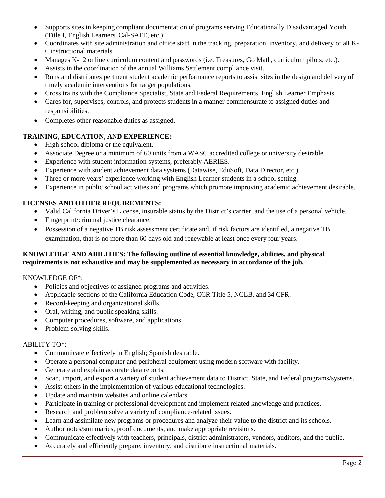- Supports sites in keeping compliant documentation of programs serving Educationally Disadvantaged Youth (Title I, English Learners, Cal-SAFE, etc.).
- Coordinates with site administration and office staff in the tracking, preparation, inventory, and delivery of all K-6 instructional materials.
- Manages K-12 online curriculum content and passwords (i.e. Treasures, Go Math, curriculum pilots, etc.).
- Assists in the coordination of the annual Williams Settlement compliance visit.
- Runs and distributes pertinent student academic performance reports to assist sites in the design and delivery of timely academic interventions for target populations.
- Cross trains with the Compliance Specialist, State and Federal Requirements, English Learner Emphasis.
- Cares for, supervises, controls, and protects students in a manner commensurate to assigned duties and responsibilities.
- Completes other reasonable duties as assigned.

# **TRAINING, EDUCATION, AND EXPERIENCE:**

- High school diploma or the equivalent.
- Associate Degree or a minimum of 60 units from a WASC accredited college or university desirable.
- Experience with student information systems, preferably AERIES.
- Experience with student achievement data systems (Datawise, EduSoft, Data Director, etc.).
- Three or more years' experience working with English Learner students in a school setting.
- Experience in public school activities and programs which promote improving academic achievement desirable.

# **LICENSES AND OTHER REQUIREMENTS:**

- Valid California Driver's License, insurable status by the District's carrier, and the use of a personal vehicle.
- Fingerprint/criminal justice clearance.
- Possession of a negative TB risk assessment certificate and, if risk factors are identified, a negative TB examination, that is no more than 60 days old and renewable at least once every four years.

## **KNOWLEDGE AND ABILITIES: The following outline of essential knowledge, abilities, and physical requirements is not exhaustive and may be supplemented as necessary in accordance of the job.**

## KNOWLEDGE OF\*:

- Policies and objectives of assigned programs and activities.
- Applicable sections of the California Education Code, CCR Title 5, NCLB, and 34 CFR.
- Record-keeping and organizational skills.
- Oral, writing, and public speaking skills.
- Computer procedures, software, and applications.
- Problem-solving skills.

## ABILITY TO\*:

- Communicate effectively in English; Spanish desirable.
- Operate a personal computer and peripheral equipment using modern software with facility.
- Generate and explain accurate data reports.
- Scan, import, and export a variety of student achievement data to District, State, and Federal programs/systems.
- Assist others in the implementation of various educational technologies.
- Update and maintain websites and online calendars.
- Participate in training or professional development and implement related knowledge and practices.
- Research and problem solve a variety of compliance-related issues.
- Learn and assimilate new programs or procedures and analyze their value to the district and its schools.
- Author notes/summaries, proof documents, and make appropriate revisions.
- Communicate effectively with teachers, principals, district administrators, vendors, auditors, and the public.
- Accurately and efficiently prepare, inventory, and distribute instructional materials.